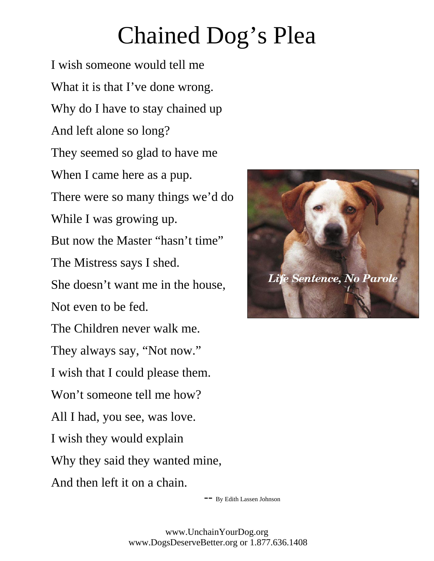## Chained Dog's Plea

I wish someone would tell me What it is that I've done wrong. Why do I have to stay chained up And left alone so long? They seemed so glad to have me When I came here as a pup. There were so many things we'd do While I was growing up. But now the Master "hasn't time" The Mistress says I shed. She doesn't want me in the house, Not even to be fed. The Children never walk me. They always say, "Not now." I wish that I could please them. Won't someone tell me how? All I had, you see, was love. I wish they would explain Why they said they wanted mine, And then left it on a chain.



-- By Edith Lassen Johnson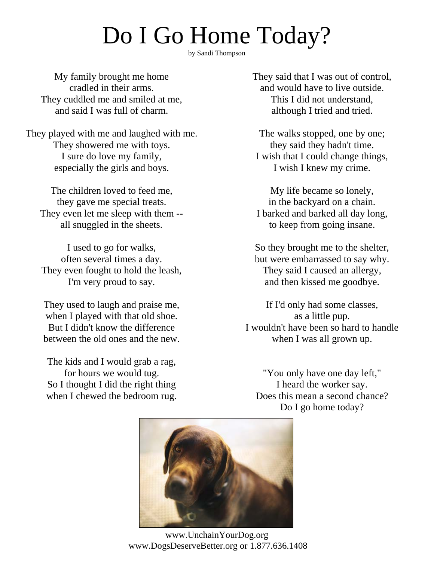## Do I Go Home Today?

by Sandi Thompson

My family brought me home cradled in their arms. They cuddled me and smiled at me, and said I was full of charm.

They played with me and laughed with me. They showered me with toys. I sure do love my family, especially the girls and boys.

 The children loved to feed me, they gave me special treats. They even let me sleep with them - all snuggled in the sheets.

I used to go for walks, often several times a day. They even fought to hold the leash, I'm very proud to say.

They used to laugh and praise me, when I played with that old shoe. But I didn't know the difference between the old ones and the new.

The kids and I would grab a rag, for hours we would tug. So I thought I did the right thing when I chewed the bedroom rug. They said that I was out of control, and would have to live outside. This I did not understand, although I tried and tried.

The walks stopped, one by one; they said they hadn't time. I wish that I could change things, I wish I knew my crime.

My life became so lonely, in the backyard on a chain. I barked and barked all day long, to keep from going insane.

So they brought me to the shelter, but were embarrassed to say why. They said I caused an allergy, and then kissed me goodbye.

If I'd only had some classes, as a little pup. I wouldn't have been so hard to handle when I was all grown up.

"You only have one day left," I heard the worker say. Does this mean a second chance? Do I go home today?



www.UnchainYourDog.org www.DogsDeserveBetter.org or 1.877.636.1408